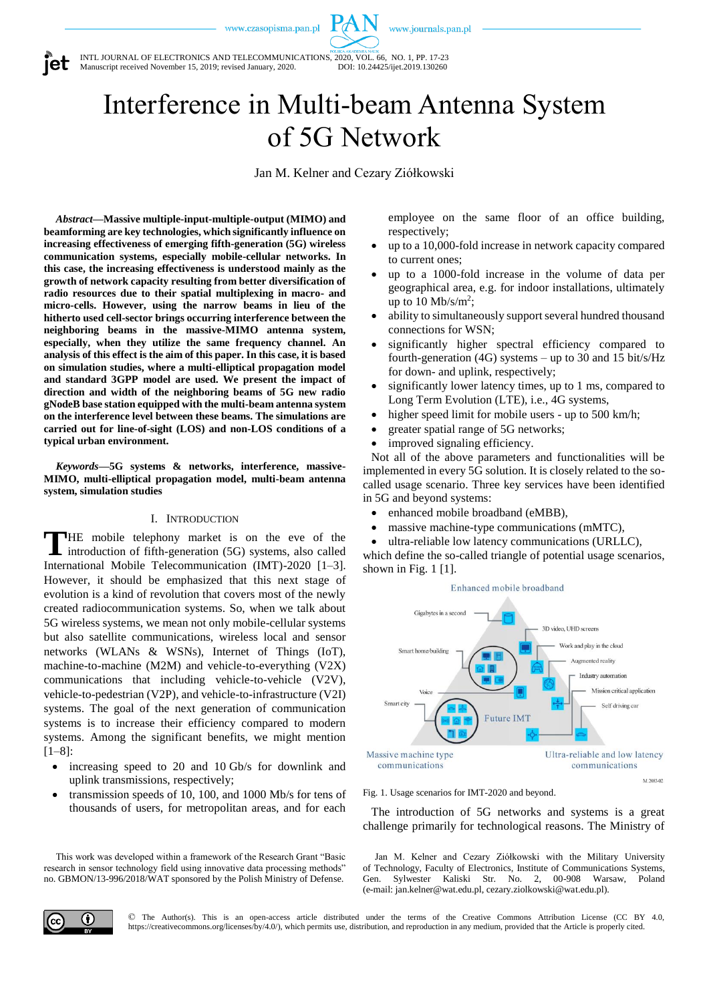www.journals.pan.pl



INTL JOURNAL OF ELECTRONICS AND TELECOMMUNICATIONS, 2020, VOL. 66, NO. 1, PP. 17-23<br>Manuscript received November 15, 2019; revised January, 2020. DOI: 10.24425/ijet.2019.130260 Manuscript received November 15, 2019; revised January, 2020.

Interference in Multi-beam Antenna System of 5G Network

Jan M. Kelner and Cezary Ziółkowski

*Abstract***—Massive multiple-input-multiple-output (MIMO) and beamforming are key technologies, which significantly influence on increasing effectiveness of emerging fifth-generation (5G) wireless communication systems, especially mobile-cellular networks. In this case, the increasing effectiveness is understood mainly as the growth of network capacity resulting from better diversification of radio resources due to their spatial multiplexing in macro- and micro-cells. However, using the narrow beams in lieu of the hitherto used cell-sector brings occurring interference between the neighboring beams in the massive-MIMO antenna system, especially, when they utilize the same frequency channel. An analysis of this effect is the aim of this paper. In this case, it is based on simulation studies, where a multi-elliptical propagation model and standard 3GPP model are used. We present the impact of direction and width of the neighboring beams of 5G new radio gNodeB base station equipped with the multi-beam antenna system on the interference level between these beams. The simulations are carried out for line-of-sight (LOS) and non-LOS conditions of a typical urban environment.**

*Keywords***—5G systems & networks, interference, massive-MIMO, multi-elliptical propagation model, multi-beam antenna system, simulation studies**

# I. INTRODUCTION

HE mobile telephony market is on the eve of the **THE** mobile telephony market is on the eve of the introduction of fifth-generation (5G) systems, also called International Mobile Telecommunication (IMT)-2020 [1–3]. However, it should be emphasized that this next stage of evolution is a kind of revolution that covers most of the newly created radiocommunication systems. So, when we talk about 5G wireless systems, we mean not only mobile-cellular systems but also satellite communications, wireless local and sensor networks (WLANs & WSNs), Internet of Things (IoT), machine-to-machine (M2M) and vehicle-to-everything (V2X) communications that including vehicle-to-vehicle (V2V), vehicle-to-pedestrian (V2P), and vehicle-to-infrastructure (V2I) systems. The goal of the next generation of communication systems is to increase their efficiency compared to modern systems. Among the significant benefits, we might mention [1–8]:

- increasing speed to 20 and 10 Gb/s for downlink and uplink transmissions, respectively;
- transmission speeds of 10, 100, and 1000 Mb/s for tens of thousands of users, for metropolitan areas, and for each

This work was developed within a framework of the Research Grant "Basic research in sensor technology field using innovative data processing methods" no. GBMON/13-996/2018/WAT sponsored by the Polish Ministry of Defense.

employee on the same floor of an office building, respectively;

- up to a 10,000-fold increase in network capacity compared to current ones;
- up to a 1000-fold increase in the volume of data per geographical area, e.g. for indoor installations, ultimately up to  $10 \text{ Mb/s/m}^2$ ;
- ability to simultaneously support several hundred thousand connections for WSN;
- significantly higher spectral efficiency compared to fourth-generation (4G) systems – up to 30 and 15 bit/s/Hz for down- and uplink, respectively;
- significantly lower latency times, up to 1 ms, compared to Long Term Evolution (LTE), i.e., 4G systems,
- higher speed limit for mobile users up to 500 km/h;
- greater spatial range of 5G networks;
- improved signaling efficiency.

Not all of the above parameters and functionalities will be implemented in every 5G solution. It is closely related to the socalled usage scenario. Three key services have been identified in 5G and beyond systems:

- enhanced mobile broadband (eMBB),
- massive machine-type communications (mMTC),
- ultra-reliable low latency communications (URLLC),

which define the so-called triangle of potential usage scenarios, shown in Fig.  $1 \lfloor 1 \rfloor$ .



Fig. 1. Usage scenarios for IMT-2020 and beyond.

The introduction of 5G networks and systems is a great challenge primarily for technological reasons. The Ministry of

Jan M. Kelner and Cezary Ziółkowski with the Military University of Technology, Faculty of Electronics, Institute of Communications Systems, Gen. Sylwester Kaliski Str. No. 2, 00-908 Warsaw, Poland (e-mail: jan.kelner@wat.edu.pl, cezary.ziolkowski@wat.edu.pl).



© The Author(s). This is an open-access article distributed under the terms of the Creative Commons Attribution License (CC BY 4.0, https://creativecommons.org/licenses/by/4.0/), which permits use, distribution, and reproduction in any medium, provided that the Article is properly cited.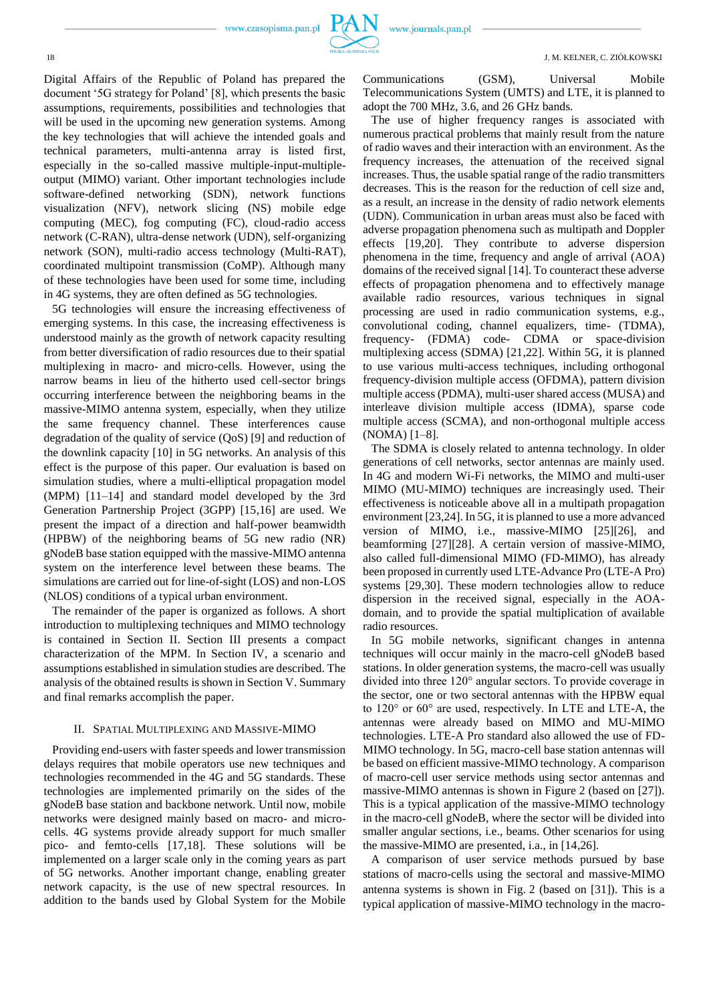Digital Affairs of the Republic of Poland has prepared the document '5G strategy for Poland' [8], which presents the basic assumptions, requirements, possibilities and technologies that will be used in the upcoming new generation systems. Among the key technologies that will achieve the intended goals and technical parameters, multi-antenna array is listed first, especially in the so-called massive multiple-input-multipleoutput (MIMO) variant. Other important technologies include software-defined networking (SDN), network functions visualization (NFV), network slicing (NS) mobile edge computing (MEC), fog computing (FC), cloud-radio access network (C-RAN), ultra-dense network (UDN), self-organizing network (SON), multi-radio access technology (Multi-RAT), coordinated multipoint transmission (CoMP). Although many of these technologies have been used for some time, including in 4G systems, they are often defined as 5G technologies.

5G technologies will ensure the increasing effectiveness of emerging systems. In this case, the increasing effectiveness is understood mainly as the growth of network capacity resulting from better diversification of radio resources due to their spatial multiplexing in macro- and micro-cells. However, using the narrow beams in lieu of the hitherto used cell-sector brings occurring interference between the neighboring beams in the massive-MIMO antenna system, especially, when they utilize the same frequency channel. These interferences cause degradation of the quality of service (QoS) [9] and reduction of the downlink capacity [10] in 5G networks. An analysis of this effect is the purpose of this paper. Our evaluation is based on simulation studies, where a multi-elliptical propagation model (MPM) [11–14] and standard model developed by the 3rd Generation Partnership Project (3GPP) [15,16] are used. We present the impact of a direction and half-power beamwidth (HPBW) of the neighboring beams of 5G new radio (NR) gNodeB base station equipped with the massive-MIMO antenna system on the interference level between these beams. The simulations are carried out for line-of-sight (LOS) and non-LOS (NLOS) conditions of a typical urban environment.

The remainder of the paper is organized as follows. A short introduction to multiplexing techniques and MIMO technology is contained in Section II. Section III presents a compact characterization of the MPM. In Section IV, a scenario and assumptions established in simulation studies are described. The analysis of the obtained results is shown in Section V. Summary and final remarks accomplish the paper.

## II. SPATIAL MULTIPLEXING AND MASSIVE-MIMO

Providing end-users with faster speeds and lower transmission delays requires that mobile operators use new techniques and technologies recommended in the 4G and 5G standards. These technologies are implemented primarily on the sides of the gNodeB base station and backbone network. Until now, mobile networks were designed mainly based on macro- and microcells. 4G systems provide already support for much smaller pico- and femto-cells [17,18]. These solutions will be implemented on a larger scale only in the coming years as part of 5G networks. Another important change, enabling greater network capacity, is the use of new spectral resources. In addition to the bands used by Global System for the Mobile

Communications (GSM), Universal Mobile Telecommunications System (UMTS) and LTE, it is planned to adopt the 700 MHz, 3.6, and 26 GHz bands.

The use of higher frequency ranges is associated with numerous practical problems that mainly result from the nature of radio waves and their interaction with an environment. As the frequency increases, the attenuation of the received signal increases. Thus, the usable spatial range of the radio transmitters decreases. This is the reason for the reduction of cell size and, as a result, an increase in the density of radio network elements (UDN). Communication in urban areas must also be faced with adverse propagation phenomena such as multipath and Doppler effects [19,20]. They contribute to adverse dispersion phenomena in the time, frequency and angle of arrival (AOA) domains of the received signal [14]. To counteract these adverse effects of propagation phenomena and to effectively manage available radio resources, various techniques in signal processing are used in radio communication systems, e.g., convolutional coding, channel equalizers, time- (TDMA), frequency- (FDMA) code- CDMA or space-division multiplexing access (SDMA) [21,22]. Within 5G, it is planned to use various multi-access techniques, including orthogonal frequency-division multiple access (OFDMA), pattern division multiple access (PDMA), multi-user shared access (MUSA) and interleave division multiple access (IDMA), sparse code multiple access (SCMA), and non-orthogonal multiple access (NOMA) [1–8].

The SDMA is closely related to antenna technology. In older generations of cell networks, sector antennas are mainly used. In 4G and modern Wi-Fi networks, the MIMO and multi-user MIMO (MU-MIMO) techniques are increasingly used. Their effectiveness is noticeable above all in a multipath propagation environment [23,24]. In 5G, it is planned to use a more advanced version of MIMO, i.e., massive-MIMO [25][26], and beamforming [27][28]. A certain version of massive-MIMO, also called full-dimensional MIMO (FD-MIMO), has already been proposed in currently used LTE-Advance Pro (LTE-A Pro) systems [29,30]. These modern technologies allow to reduce dispersion in the received signal, especially in the AOAdomain, and to provide the spatial multiplication of available radio resources.

In 5G mobile networks, significant changes in antenna techniques will occur mainly in the macro-cell gNodeB based stations. In older generation systems, the macro-cell was usually divided into three 120° angular sectors. To provide coverage in the sector, one or two sectoral antennas with the HPBW equal to 120° or 60° are used, respectively. In LTE and LTE-A, the antennas were already based on MIMO and MU-MIMO technologies. LTE-A Pro standard also allowed the use of FD-MIMO technology. In 5G, macro-cell base station antennas will be based on efficient massive-MIMO technology. A comparison of macro-cell user service methods using sector antennas and massive-MIMO antennas is shown in Figure 2 (based on [27]). This is a typical application of the massive-MIMO technology in the macro-cell gNodeB, where the sector will be divided into smaller angular sections, i.e., beams. Other scenarios for using the massive-MIMO are presented, i.a., in [14,26].

A comparison of user service methods pursued by base stations of macro-cells using the sectoral and massive-MIMO antenna systems is shown in Fig. 2 (based on [31]). This is a typical application of massive-MIMO technology in the macro-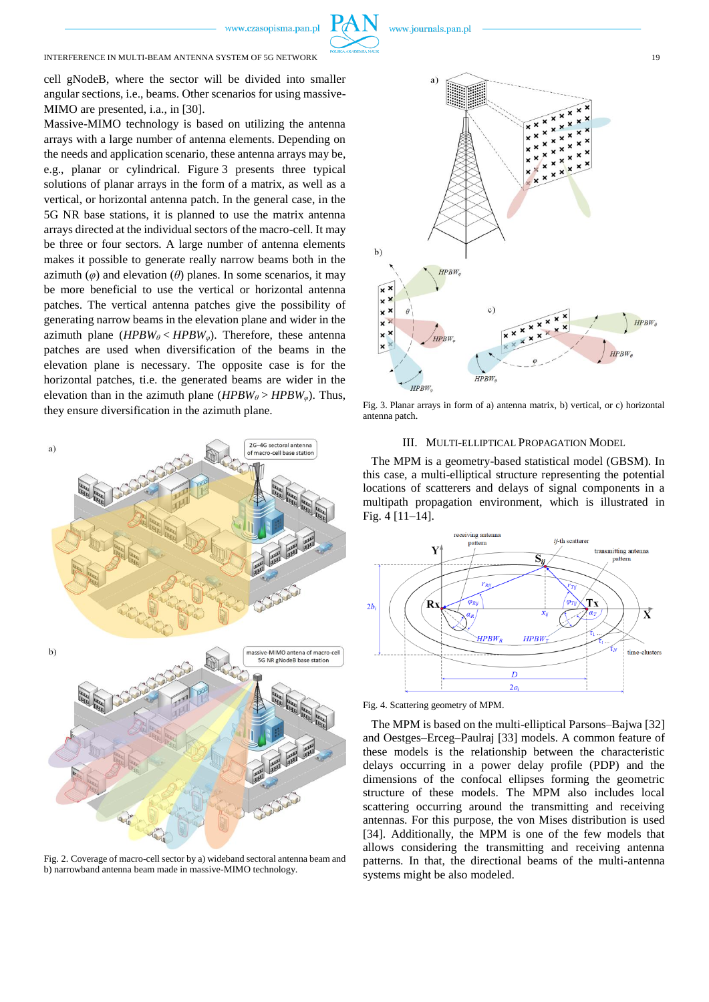## INTERFERENCE IN MULTI-BEAM ANTENNA SYSTEM OF 5G NETWORK 19

cell gNodeB, where the sector will be divided into smaller angular sections, i.e., beams. Other scenarios for using massive-MIMO are presented, i.a., in [30].

Massive-MIMO technology is based on utilizing the antenna arrays with a large number of antenna elements. Depending on the needs and application scenario, these antenna arrays may be, e.g., planar or cylindrical. Figure 3 presents three typical solutions of planar arrays in the form of a matrix, as well as a vertical, or horizontal antenna patch. In the general case, in the 5G NR base stations, it is planned to use the matrix antenna arrays directed at the individual sectors of the macro-cell. It may be three or four sectors. A large number of antenna elements makes it possible to generate really narrow beams both in the azimuth  $(\varphi)$  and elevation  $(\theta)$  planes. In some scenarios, it may be more beneficial to use the vertical or horizontal antenna patches. The vertical antenna patches give the possibility of generating narrow beams in the elevation plane and wider in the azimuth plane (*HPBW<sup>θ</sup>* < *HPBWφ*). Therefore, these antenna patches are used when diversification of the beams in the elevation plane is necessary. The opposite case is for the horizontal patches, ti.e. the generated beams are wider in the elevation than in the azimuth plane  $(HPBW<sub>θ</sub>)$   $\rightarrow$   $HPBW<sub>φ</sub>)$ . Thus, they ensure diversification in the azimuth plane.



Fig. 2. Coverage of macro-cell sector by a) wideband sectoral antenna beam and b) narrowband antenna beam made in massive-MIMO technology.



Fig. 3. Planar arrays in form of a) antenna matrix, b) vertical, or c) horizontal antenna patch.



The MPM is a geometry-based statistical model (GBSM). In this case, a multi-elliptical structure representing the potential locations of scatterers and delays of signal components in a multipath propagation environment, which is illustrated in Fig. 4 [11–14].



Fig. 4. Scattering geometry of MPM.

The MPM is based on the multi-elliptical Parsons–Bajwa [32] and Oestges–Erceg–Paulraj [33] models. A common feature of these models is the relationship between the characteristic delays occurring in a power delay profile (PDP) and the dimensions of the confocal ellipses forming the geometric structure of these models. The MPM also includes local scattering occurring around the transmitting and receiving antennas. For this purpose, the von Mises distribution is used [34]. Additionally, the MPM is one of the few models that allows considering the transmitting and receiving antenna patterns. In that, the directional beams of the multi-antenna systems might be also modeled.

www.journals.pan.pl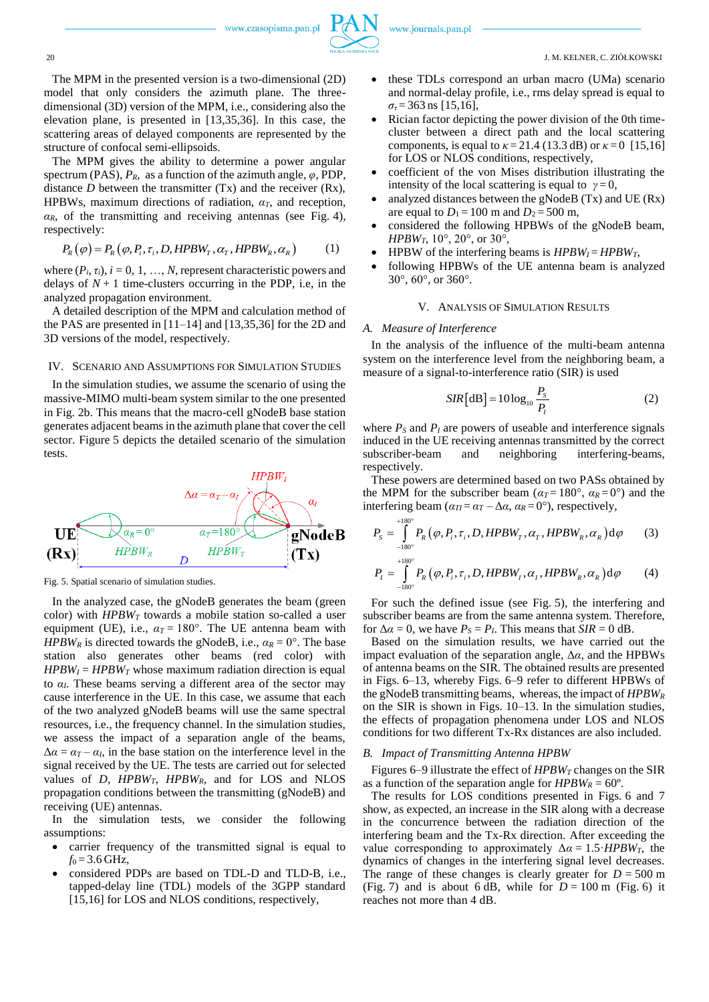

The MPM in the presented version is a two-dimensional (2D) model that only considers the azimuth plane. The threedimensional (3D) version of the MPM, i.e., considering also the elevation plane, is presented in [13,35,36]. In this case, the scattering areas of delayed components are represented by the structure of confocal semi-ellipsoids.

The MPM gives the ability to determine a power angular spectrum (PAS),  $P_R$ , as a function of the azimuth angle,  $\varphi$ , PDP, distance *D* between the transmitter (Tx) and the receiver (Rx), HPBWs, maximum directions of radiation, *αT*, and reception,  $\alpha_R$ , of the transmitting and receiving antennas (see Fig. 4), respectively:

$$
P_R(\varphi) = P_R(\varphi, P_i, \tau_i, D, HPBW_T, \alpha_T, HPBW_R, \alpha_R)
$$
 (1)

where  $(P_i, \tau_i)$ ,  $i = 0, 1, ..., N$ , represent characteristic powers and delays of  $N+1$  time-clusters occurring in the PDP, i.e, in the analyzed propagation environment.

A detailed description of the MPM and calculation method of the PAS are presented in [11–14] and [13,35,36] for the 2D and 3D versions of the model, respectively.

### IV. SCENARIO AND ASSUMPTIONS FOR SIMULATION STUDIES

In the simulation studies, we assume the scenario of using the massive-MIMO multi-beam system similar to the one presented in Fig. 2b. This means that the macro-cell gNodeB base station generates adjacent beams in the azimuth plane that cover the cell sector. Figure 5 depicts the detailed scenario of the simulation tests.



Fig. 5. Spatial scenario of simulation studies.

In the analyzed case, the gNodeB generates the beam (green color) with  $HPBW_T$  towards a mobile station so-called a user equipment (UE), i.e.,  $a_T = 180^\circ$ . The UE antenna beam with *HPBW<sub>R</sub>* is directed towards the gNodeB, i.e.,  $\alpha_R = 0^\circ$ . The base station also generates other beams (red color) with  $HPBW_I = HPBW_T$  whose maximum radiation direction is equal to *αI*. These beams serving a different area of the sector may cause interference in the UE. In this case, we assume that each of the two analyzed gNodeB beams will use the same spectral resources, i.e., the frequency channel. In the simulation studies, we assess the impact of a separation angle of the beams,  $\Delta \alpha = \alpha_T - \alpha_I$ , in the base station on the interference level in the signal received by the UE. The tests are carried out for selected values of *D*, *HPBWT*, *HPBWR*, and for LOS and NLOS propagation conditions between the transmitting (gNodeB) and receiving (UE) antennas.

In the simulation tests, we consider the following assumptions:

- carrier frequency of the transmitted signal is equal to  $f_0 = 3.6$  GHz,
- considered PDPs are based on TDL-D and TLD-B, i.e., tapped-delay line (TDL) models of the 3GPP standard [15,16] for LOS and NLOS conditions, respectively,
- these TDLs correspond an urban macro (UMa) scenario and normal-delay profile, i.e., rms delay spread is equal to  $\sigma_{\tau}$  = 363 ns [15,16],
- Rician factor depicting the power division of the 0th timecluster between a direct path and the local scattering components, is equal to  $\kappa = 21.4$  (13.3 dB) or  $\kappa = 0$  [15,16] for LOS or NLOS conditions, respectively,
- coefficient of the von Mises distribution illustrating the intensity of the local scattering is equal to  $\gamma = 0$ ,
- analyzed distances between the gNodeB (Tx) and UE (Rx) are equal to  $D_1 = 100$  m and  $D_2 = 500$  m,
- considered the following HPBWs of the gNodeB beam, *HPBWT*, 10°, 20°, or 30°,
- HPBW of the interfering beams is  $HPBW_I = HPBW_T$ ,
- following HPBWs of the UE antenna beam is analyzed 30°, 60°, or 360°.

## V. ANALYSIS OF SIMULATION RESULTS

#### *A. Measure of Interference*

In the analysis of the influence of the multi-beam antenna system on the interference level from the neighboring beam, a measure of a signal-to-interference ratio (SIR) is used

$$
SIR[dB] = 10\log_{10}\frac{P_s}{P_t}
$$
 (2)

where  $P_s$  and  $P_l$  are powers of useable and interference signals induced in the UE receiving antennas transmitted by the correct subscriber-beam and neighboring interfering-beams, respectively.

These powers are determined based on two PASs obtained by the MPM for the subscriber beam ( $\alpha_T = 180^\circ$ ,  $\alpha_R = 0^\circ$ ) and the interfering beam  $(\alpha_{II} = \alpha_T - \Delta \alpha, \alpha_R = 0^{\circ})$ , respectively,

$$
P_{s} = \int_{-180^{\circ}}^{+180^{\circ}} P_{R}(\varphi, P_{i}, \tau_{i}, D, HPBW_{T}, \alpha_{T}, HPBW_{R}, \alpha_{R}) d\varphi
$$
 (3)  

$$
P_{I} = \int_{-180^{\circ}}^{+180^{\circ}} P_{R}(\varphi, P_{i}, \tau_{i}, D, HPBW_{I}, \alpha_{I}, HPBW_{R}, \alpha_{R}) d\varphi
$$
 (4)

For such the defined issue (see Fig. 5), the interfering and subscriber beams are from the same antenna system. Therefore, for  $\Delta \alpha = 0$ , we have  $P_S = P_I$ . This means that  $SIR = 0$  dB.

Based on the simulation results, we have carried out the impact evaluation of the separation angle, Δ*α*, and the HPBWs of antenna beams on the SIR. The obtained results are presented in Figs. 6–13, whereby Figs. 6–9 refer to different HPBWs of the gNodeB transmitting beams, whereas, the impact of *HPBW<sup>R</sup>* on the SIR is shown in Figs. 10–13. In the simulation studies, the effects of propagation phenomena under LOS and NLOS conditions for two different Tx-Rx distances are also included.

### *B. Impact of Transmitting Antenna HPBW*

Figures 6–9 illustrate the effect of *HPBW<sup>T</sup>* changes on the SIR as a function of the separation angle for  $HPBW_R = 60^\circ$ .

The results for LOS conditions presented in Figs. 6 and 7 show, as expected, an increase in the SIR along with a decrease in the concurrence between the radiation direction of the interfering beam and the Tx-Rx direction. After exceeding the value corresponding to approximately  $\Delta \alpha = 1.5 \cdot HPBW_T$ , the dynamics of changes in the interfering signal level decreases. The range of these changes is clearly greater for  $D = 500$  m (Fig. 7) and is about 6 dB, while for  $D = 100$  m (Fig. 6) it reaches not more than 4 dB.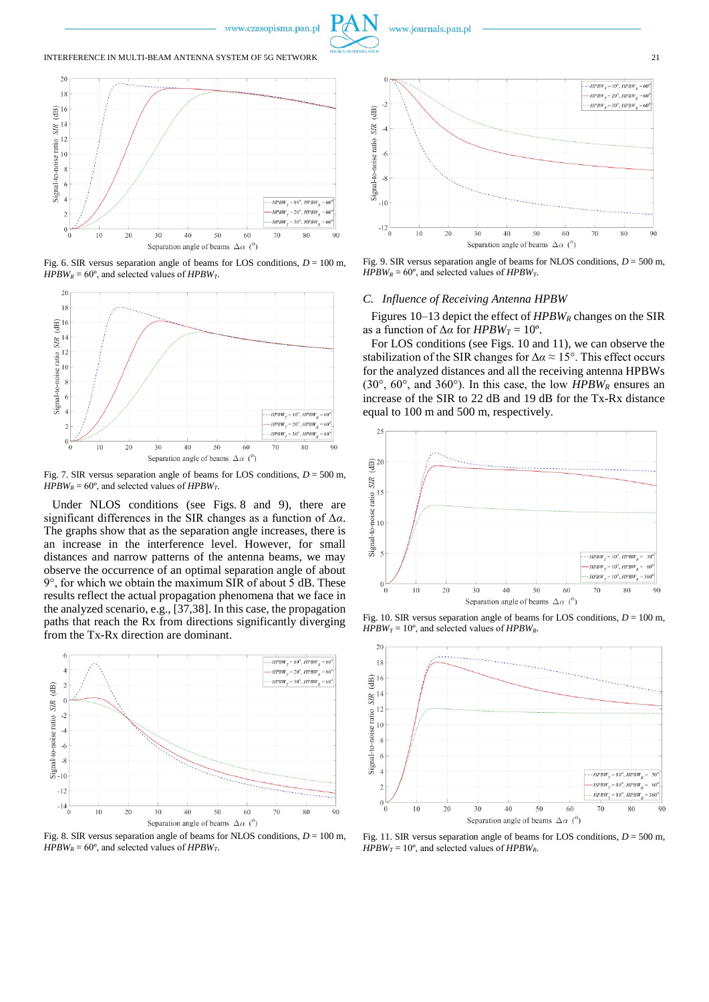

www.journals.pan.pl

#### INTERFERENCE IN MULTI-BEAM ANTENNA SYSTEM OF 5G NETWORK 21



Fig. 6. SIR versus separation angle of beams for LOS conditions,  $D = 100$  m, *HPBW<sub>R</sub>* =  $60^\circ$ , and selected values of *HPBW<sub>T</sub>*.



Fig. 7. SIR versus separation angle of beams for LOS conditions,  $D = 500$  m, *HPBW<sub>R</sub>* = 60 $^{\circ}$ , and selected values of *HPBW<sub>T</sub>* 

Under NLOS conditions (see Figs. 8 and 9), there are significant differences in the SIR changes as a function of Δ*α*. The graphs show that as the separation angle increases, there is an increase in the interference level. However, for small distances and narrow patterns of the antenna beams, we may observe the occurrence of an optimal separation angle of about 9°, for which we obtain the maximum SIR of about 5 dB. These results reflect the actual propagation phenomena that we face in the analyzed scenario, e.g., [37,38]. In this case, the propagation paths that reach the Rx from directions significantly diverging from the Tx-Rx direction are dominant.



Fig. 8. SIR versus separation angle of beams for NLOS conditions,  $D = 100$  m, *HPBW<sub>R</sub>* = 60°, and selected values of *HPBW<sub>T</sub>*.



Fig. 9. SIR versus separation angle of beams for NLOS conditions, *D* = 500 m, *HPBW<sub>R</sub>* = 60°, and selected values of *HPBW<sub>T</sub>*.

#### *C. Influence of Receiving Antenna HPBW*

Figures 10–13 depict the effect of *HPBW<sup>R</sup>* changes on the SIR as a function of  $\Delta \alpha$  for *HPBW<sub>T</sub>* = 10<sup>o</sup>.

For LOS conditions (see Figs. 10 and 11), we can observe the stabilization of the SIR changes for  $\Delta \alpha \approx 15^{\circ}$ . This effect occurs for the analyzed distances and all the receiving antenna HPBWs (30°, 60°, and 360°). In this case, the low *HPBW<sup>R</sup>* ensures an increase of the SIR to 22 dB and 19 dB for the Tx-Rx distance equal to 100 m and 500 m, respectively.



Fig. 10. SIR versus separation angle of beams for LOS conditions,  $D = 100$  m,  $HPBW_T = 10^\circ$ , and selected values of *HPBW<sub>R</sub>*.



Fig. 11. SIR versus separation angle of beams for LOS conditions, *D* = 500 m, *HPBW<sub>T</sub>* = 10°, and selected values of *HPBW<sub>R</sub>*.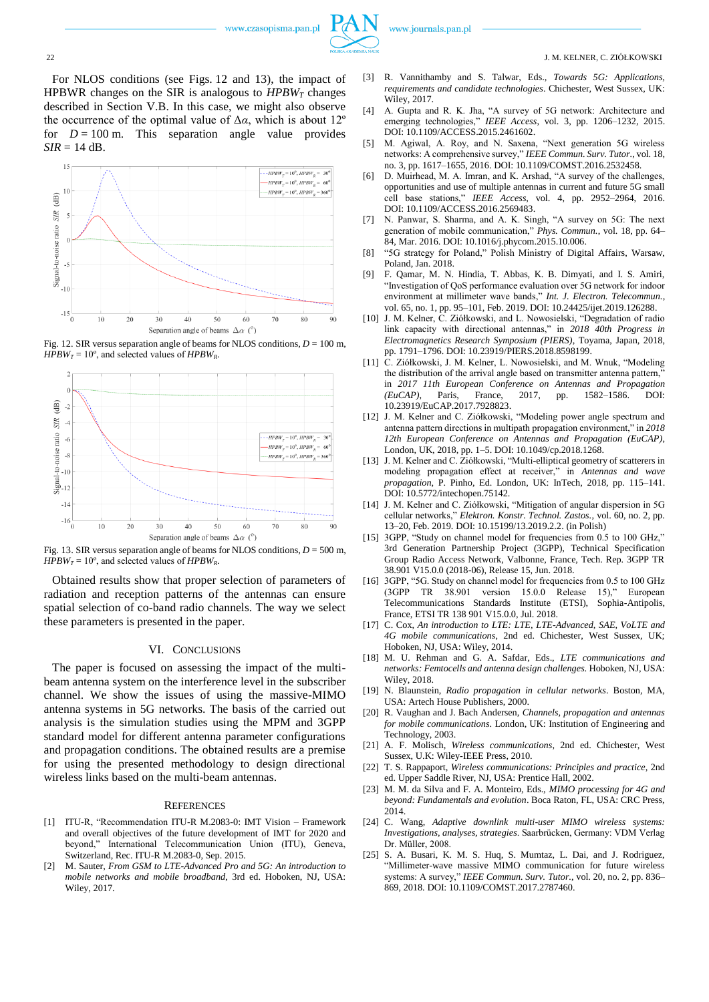

For NLOS conditions (see Figs. 12 and 13), the impact of HPBWR changes on the SIR is analogous to *HPBW<sup>T</sup>* changes described in Section V.B. In this case, we might also observe the occurrence of the optimal value of  $\Delta \alpha$ , which is about 12<sup>o</sup> for  $D = 100$  m. This separation angle value provides  $SIR = 14$  dB.



Fig. 12. SIR versus separation angle of beams for NLOS conditions,  $D = 100$  m, *HPBW<sub>T</sub>* = 10<sup>°</sup>, and selected values of *HPBW<sub>R</sub>*.



Fig. 13. SIR versus separation angle of beams for NLOS conditions, *D* = 500 m, *HPBW<sub>T</sub>* = 10°, and selected values of *HPBW<sub>R</sub>*.

Obtained results show that proper selection of parameters of radiation and reception patterns of the antennas can ensure spatial selection of co-band radio channels. The way we select these parameters is presented in the paper.

## VI. CONCLUSIONS

The paper is focused on assessing the impact of the multibeam antenna system on the interference level in the subscriber channel. We show the issues of using the massive-MIMO antenna systems in 5G networks. The basis of the carried out analysis is the simulation studies using the MPM and 3GPP standard model for different antenna parameter configurations and propagation conditions. The obtained results are a premise for using the presented methodology to design directional wireless links based on the multi-beam antennas.

### **REFERENCES**

- [1] ITU-R, "Recommendation ITU-R M.2083-0: IMT Vision Framework and overall objectives of the future development of IMT for 2020 and beyond," International Telecommunication Union (ITU), Geneva, Switzerland, Rec. ITU-R M.2083-0, Sep. 2015.
- [2] M. Sauter, *From GSM to LTE-Advanced Pro and 5G: An introduction to mobile networks and mobile broadband*, 3rd ed. Hoboken, NJ, USA: Wiley, 2017.
- [3] R. Vannithamby and S. Talwar, Eds., *Towards 5G: Applications, requirements and candidate technologies*. Chichester, West Sussex, UK: Wiley, 2017.
- [4] A. Gupta and R. K. Jha, "A survey of 5G network: Architecture and emerging technologies," *IEEE Access*, vol. 3, pp. 1206–1232, 2015. DOI: 10.1109/ACCESS.2015.2461602.
- [5] M. Agiwal, A. Roy, and N. Saxena, "Next generation 5G wireless networks: A comprehensive survey," *IEEE Commun. Surv. Tutor.*, vol. 18, no. 3, pp. 1617–1655, 2016. DOI: 10.1109/COMST.2016.2532458.
- [6] D. Muirhead, M. A. Imran, and K. Arshad, "A survey of the challenges, opportunities and use of multiple antennas in current and future 5G small cell base stations," *IEEE Access*, vol. 4, pp. 2952–2964, 2016. DOI: 10.1109/ACCESS.2016.2569483.
- [7] N. Panwar, S. Sharma, and A. K. Singh, "A survey on 5G: The next generation of mobile communication," *Phys. Commun.*, vol. 18, pp. 64– 84, Mar. 2016. DOI: 10.1016/j.phycom.2015.10.006.
- [8] "5G strategy for Poland," Polish Ministry of Digital Affairs, Warsaw, Poland, Jan. 2018.
- [9] F. Qamar, M. N. Hindia, T. Abbas, K. B. Dimyati, and I. S. Amiri, "Investigation of QoS performance evaluation over 5G network for indoor environment at millimeter wave bands," *Int. J. Electron. Telecommun.*, vol. 65, no. 1, pp. 95–101, Feb. 2019. DOI: 10.24425/ijet.2019.126288.
- [10] J. M. Kelner, C. Ziółkowski, and L. Nowosielski, "Degradation of radio link capacity with directional antennas," in *2018 40th Progress in Electromagnetics Research Symposium (PIERS)*, Toyama, Japan, 2018, pp. 1791–1796. DOI: 10.23919/PIERS.2018.8598199.
- [11] C. Ziółkowski, J. M. Kelner, L. Nowosielski, and M. Wnuk, "Modeling the distribution of the arrival angle based on transmitter antenna pattern, in *2017 11th European Conference on Antennas and Propagation*<br>(*EuCAP*). Paris. France. 2017. pp. 1582–1586. DOI: *(EuCAP)*, Paris, France, 2017, pp. 1582–1586. DOI: 10.23919/EuCAP.2017.7928823.
- [12] J. M. Kelner and C. Ziółkowski, "Modeling power angle spectrum and antenna pattern directions in multipath propagation environment," in *2018 12th European Conference on Antennas and Propagation (EuCAP)*, London, UK, 2018, pp. 1–5. DOI: 10.1049/cp.2018.1268.
- [13] J. M. Kelner and C. Ziółkowski, "Multi-elliptical geometry of scatterers in modeling propagation effect at receiver," in *Antennas and wave propagation*, P. Pinho, Ed. London, UK: InTech, 2018, pp. 115–141. DOI: 10.5772/intechopen.75142.
- [14] J. M. Kelner and C. Ziółkowski, "Mitigation of angular dispersion in 5G cellular networks," *Elektron. Konstr. Technol. Zastos.*, vol. 60, no. 2, pp. 13–20, Feb. 2019. DOI: 10.15199/13.2019.2.2. (in Polish)
- [15] 3GPP, "Study on channel model for frequencies from 0.5 to 100 GHz," 3rd Generation Partnership Project (3GPP), Technical Specification Group Radio Access Network, Valbonne, France, Tech. Rep. 3GPP TR 38.901 V15.0.0 (2018-06), Release 15, Jun. 2018.
- [16] 3GPP, "5G. Study on channel model for frequencies from 0.5 to 100 GHz (3GPP TR 38.901 version 15.0.0 Release 15)," European Telecommunications Standards Institute (ETSI), Sophia-Antipolis, France, ETSI TR 138 901 V15.0.0, Jul. 2018.
- [17] C. Cox, An introduction to LTE: LTE, LTE-Advanced, SAE, VoLTE and *4G mobile communications*, 2nd ed. Chichester, West Sussex, UK; Hoboken, NJ, USA: Wiley, 2014.
- [18] M. U. Rehman and G. A. Safdar, Eds., *LTE communications and networks: Femtocells and antenna design challenges*. Hoboken, NJ, USA: Wiley, 2018.
- [19] N. Blaunstein, *Radio propagation in cellular networks*. Boston, MA, USA: Artech House Publishers, 2000.
- [20] R. Vaughan and J. Bach Andersen, *Channels, propagation and antennas for mobile communications*. London, UK: Institution of Engineering and Technology, 2003.
- [21] A. F. Molisch, *Wireless communications*, 2nd ed. Chichester, West Sussex, U.K: Wiley-IEEE Press, 2010.
- [22] T. S. Rappaport, *Wireless communications: Principles and practice*, 2nd ed. Upper Saddle River, NJ, USA: Prentice Hall, 2002.
- [23] M. M. da Silva and F. A. Monteiro, Eds., *MIMO processing for 4G and beyond: Fundamentals and evolution*. Boca Raton, FL, USA: CRC Press, 2014.
- [24] C. Wang, *Adaptive downlink multi-user MIMO wireless systems: Investigations, analyses, strategies*. Saarbrücken, Germany: VDM Verlag Dr. Müller, 2008.
- [25] S. A. Busari, K. M. S. Huq, S. Mumtaz, L. Dai, and J. Rodriguez, "Millimeter-wave massive MIMO communication for future wireless systems: A survey," *IEEE Commun. Surv. Tutor.*, vol. 20, no. 2, pp. 836– 869, 2018. DOI: 10.1109/COMST.2017.2787460.